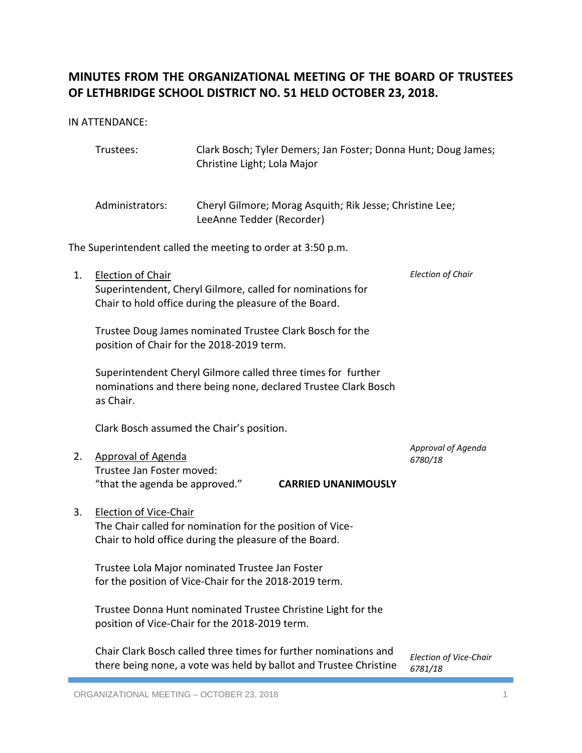# **MINUTES FROM THE ORGANIZATIONAL MEETING OF THE BOARD OF TRUSTEES OF LETHBRIDGE SCHOOL DISTRICT NO. 51 HELD OCTOBER 23, 2018.**

IN ATTENDANCE:

|                                                             | Trustees:                                                                                                                                     | Christine Light; Lola Major                                | Clark Bosch; Tyler Demers; Jan Foster; Donna Hunt; Doug James;                                                                        |                                          |
|-------------------------------------------------------------|-----------------------------------------------------------------------------------------------------------------------------------------------|------------------------------------------------------------|---------------------------------------------------------------------------------------------------------------------------------------|------------------------------------------|
|                                                             | Administrators:                                                                                                                               | LeeAnne Tedder (Recorder)                                  | Cheryl Gilmore; Morag Asquith; Rik Jesse; Christine Lee;                                                                              |                                          |
| The Superintendent called the meeting to order at 3:50 p.m. |                                                                                                                                               |                                                            |                                                                                                                                       |                                          |
| 1.                                                          | <b>Election of Chair</b><br>Chair to hold office during the pleasure of the Board.                                                            | Superintendent, Cheryl Gilmore, called for nominations for | <b>Election of Chair</b>                                                                                                              |                                          |
|                                                             | Trustee Doug James nominated Trustee Clark Bosch for the<br>position of Chair for the 2018-2019 term.                                         |                                                            |                                                                                                                                       |                                          |
|                                                             | Superintendent Cheryl Gilmore called three times for further<br>nominations and there being none, declared Trustee Clark Bosch<br>as Chair.   |                                                            |                                                                                                                                       |                                          |
|                                                             | Clark Bosch assumed the Chair's position.                                                                                                     |                                                            |                                                                                                                                       |                                          |
| 2.                                                          | <b>Approval of Agenda</b><br>Trustee Jan Foster moved:<br>"that the agenda be approved."                                                      |                                                            | <b>CARRIED UNANIMOUSLY</b>                                                                                                            | Approval of Agenda<br>6780/18            |
| 3.                                                          | Election of Vice-Chair<br>The Chair called for nomination for the position of Vice-<br>Chair to hold office during the pleasure of the Board. |                                                            |                                                                                                                                       |                                          |
|                                                             | Trustee Lola Major nominated Trustee Jan Foster<br>for the position of Vice-Chair for the 2018-2019 term.                                     |                                                            |                                                                                                                                       |                                          |
|                                                             | Trustee Donna Hunt nominated Trustee Christine Light for the<br>position of Vice-Chair for the 2018-2019 term.                                |                                                            |                                                                                                                                       |                                          |
|                                                             |                                                                                                                                               |                                                            | Chair Clark Bosch called three times for further nominations and<br>there being none, a vote was held by ballot and Trustee Christine | <b>Election of Vice-Chair</b><br>6781/18 |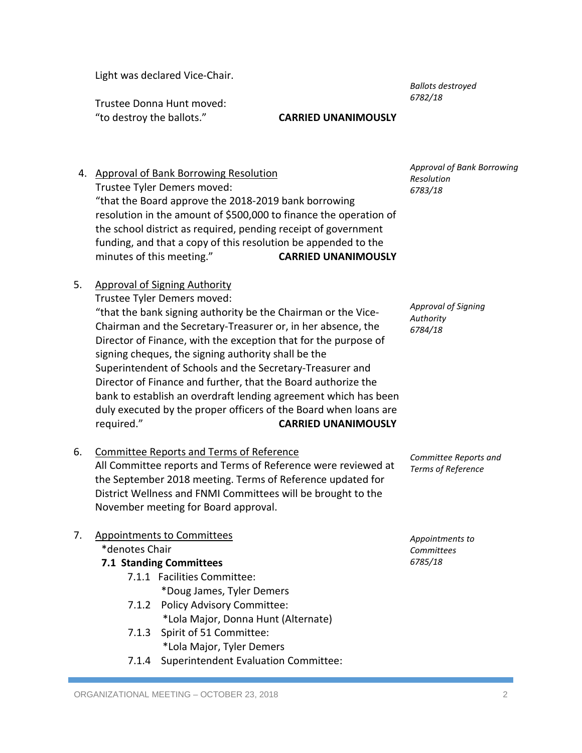Light was declared Vice-Chair.

*Ballots destroyed 6782/18*

Trustee Donna Hunt moved: "to destroy the ballots." **CARRIED UNANIMOUSLY**

- 4. Approval of Bank Borrowing Resolution Trustee Tyler Demers moved: "that the Board approve the 2018-2019 bank borrowing resolution in the amount of \$500,000 to finance the operation of the school district as required, pending receipt of government funding, and that a copy of this resolution be appended to the minutes of this meeting." **CARRIED UNANIMOUSLY**
- 5. Approval of Signing Authority

Trustee Tyler Demers moved:

"that the bank signing authority be the Chairman or the Vice-Chairman and the Secretary-Treasurer or, in her absence, the Director of Finance, with the exception that for the purpose of signing cheques, the signing authority shall be the Superintendent of Schools and the Secretary-Treasurer and Director of Finance and further, that the Board authorize the bank to establish an overdraft lending agreement which has been duly executed by the proper officers of the Board when loans are required." **CARRIED UNANIMOUSLY** *Authority 6784/18*

6. Committee Reports and Terms of Reference All Committee reports and Terms of Reference were reviewed at the September 2018 meeting. Terms of Reference updated for District Wellness and FNMI Committees will be brought to the November meeting for Board approval.

# 7. Appointments to Committees

\*denotes Chair

- **7.1 Standing Committees**
	- 7.1.1 Facilities Committee: \*Doug James, Tyler Demers
	- 7.1.2 Policy Advisory Committee: \*Lola Major, Donna Hunt (Alternate)
	- 7.1.3 Spirit of 51 Committee: \*Lola Major, Tyler Demers
	- 7.1.4 Superintendent Evaluation Committee:

*Approval of Bank Borrowing Resolution 6783/18*

*Approval of Signing* 

*Committee Reports and Terms of Reference*

*Appointments to Committees 6785/18*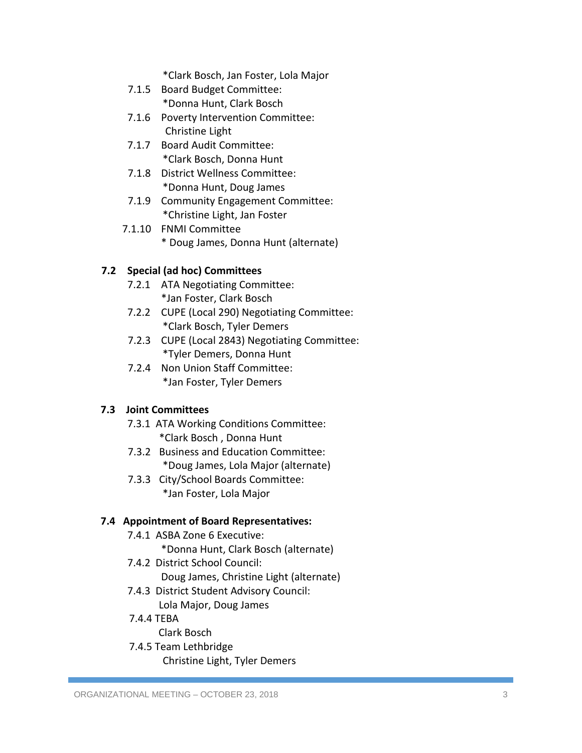\*Clark Bosch, Jan Foster, Lola Major

- 7.1.5 Board Budget Committee: \*Donna Hunt, Clark Bosch
- 7.1.6 Poverty Intervention Committee: Christine Light
- 7.1.7 Board Audit Committee: \*Clark Bosch, Donna Hunt
- 7.1.8 District Wellness Committee: \*Donna Hunt, Doug James
- 7.1.9 Community Engagement Committee: \*Christine Light, Jan Foster
- 7.1.10 FNMI Committee \* Doug James, Donna Hunt (alternate)

## **7.2 Special (ad hoc) Committees**

- 7.2.1 ATA Negotiating Committee: \*Jan Foster, Clark Bosch
- 7.2.2 CUPE (Local 290) Negotiating Committee: \*Clark Bosch, Tyler Demers
- 7.2.3 CUPE (Local 2843) Negotiating Committee: \*Tyler Demers, Donna Hunt
- 7.2.4 Non Union Staff Committee: \*Jan Foster, Tyler Demers

### **7.3 Joint Committees**

- 7.3.1 ATA Working Conditions Committee: \*Clark Bosch , Donna Hunt
- 7.3.2 Business and Education Committee: \*Doug James, Lola Major (alternate)
- 7.3.3 City/School Boards Committee: \*Jan Foster, Lola Major

### **7.4 Appointment of Board Representatives:**

- 7.4.1 ASBA Zone 6 Executive:
	- \*Donna Hunt, Clark Bosch (alternate)
- 7.4.2 District School Council: Doug James, Christine Light (alternate)
- 7.4.3 District Student Advisory Council: Lola Major, Doug James
- 7.4.4 TEBA
	- Clark Bosch
- 7.4.5 Team Lethbridge Christine Light, Tyler Demers